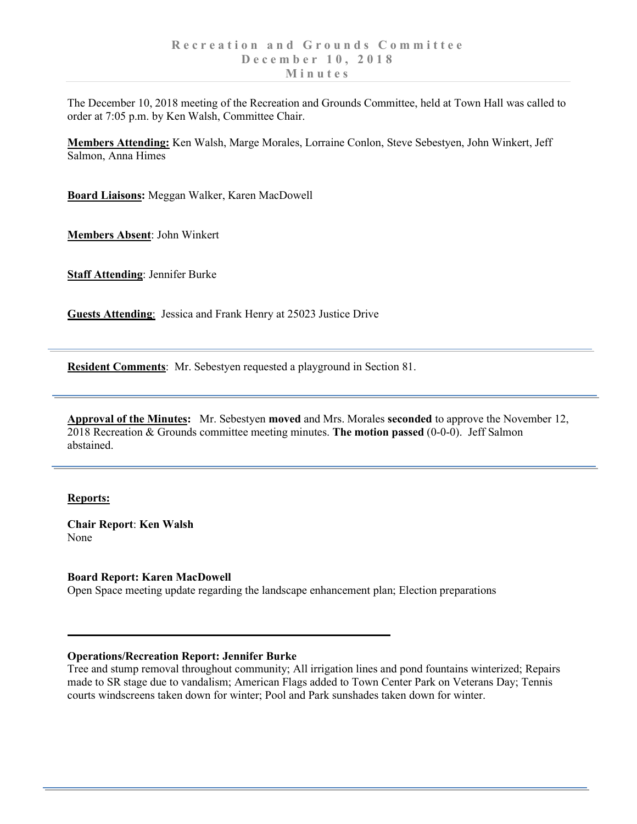The December 10, 2018 meeting of the Recreation and Grounds Committee, held at Town Hall was called to order at 7:05 p.m. by Ken Walsh, Committee Chair.

**Members Attending:** Ken Walsh, Marge Morales, Lorraine Conlon, Steve Sebestyen, John Winkert, Jeff Salmon, Anna Himes

**Board Liaisons:** Meggan Walker, Karen MacDowell

**Members Absent**: John Winkert

**Staff Attending**: Jennifer Burke

**Guests Attending**: Jessica and Frank Henry at 25023 Justice Drive

**Resident Comments**: Mr. Sebestyen requested a playground in Section 81.

**Approval of the Minutes:** Mr. Sebestyen **moved** and Mrs. Morales **seconded** to approve the November 12, 2018 Recreation & Grounds committee meeting minutes. **The motion passed** (0-0-0). Jeff Salmon abstained.

## **Reports:**

**Chair Report**: **Ken Walsh** None

**Board Report: Karen MacDowell** Open Space meeting update regarding the landscape enhancement plan; Election preparations

## **Operations/Recreation Report: Jennifer Burke**

Tree and stump removal throughout community; All irrigation lines and pond fountains winterized; Repairs made to SR stage due to vandalism; American Flags added to Town Center Park on Veterans Day; Tennis courts windscreens taken down for winter; Pool and Park sunshades taken down for winter.